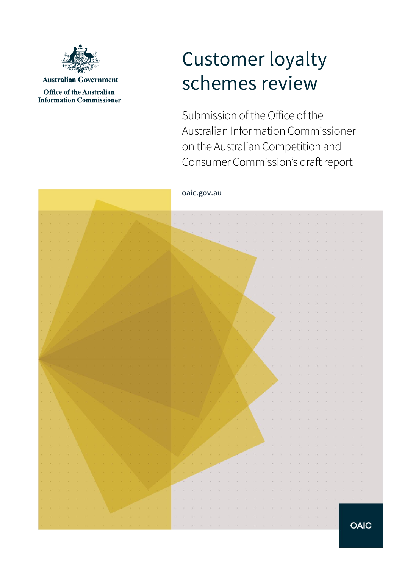

**Office of the Australian Information Commissioner** 

# Customer loyalty schemes review

Submission of the Office of the Australian Information Commissioner on the Australian Competition and Consumer Commission's draft report

#### **oaic.gov.au**

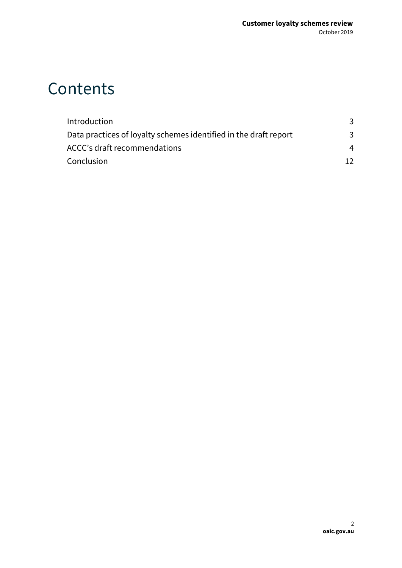## **Contents**

| Introduction                                                     |    |
|------------------------------------------------------------------|----|
| Data practices of loyalty schemes identified in the draft report | 3  |
| ACCC's draft recommendations                                     | 4  |
| Conclusion                                                       | 12 |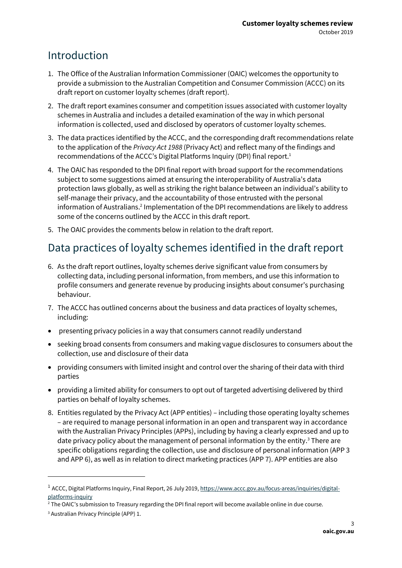## <span id="page-2-0"></span>Introduction

- 1. The Office of the Australian Information Commissioner (OAIC) welcomes the opportunity to provide a submission to the Australian Competition and Consumer Commission (ACCC) on its draft report on customer loyalty schemes (draft report).
- 2. The draft report examines consumer and competition issues associated with customer loyalty schemes in Australia and includes a detailed examination of the way in which personal information is collected, used and disclosed by operators of customer loyalty schemes.
- 3. The data practices identified by the ACCC, and the corresponding draft recommendations relate to the application of the *Privacy Act 1988* (Privacy Act) and reflect many of the findings and recommendations of the ACCC's Digital Platforms Inquiry (DPI) final report.<sup>1</sup>
- 4. The OAIC has responded to the DPI final report with broad support for the recommendations subject to some suggestions aimed at ensuring the interoperability of Australia's data protection laws globally, as well as striking the right balance between an individual's ability to self-manage their privacy, and the accountability of those entrusted with the personal information of Australians.<sup>2</sup> Implementation of the DPI recommendations are likely to address some of the concerns outlined by the ACCC in this draft report.
- 5. The OAIC provides the comments below in relation to the draft report.

## <span id="page-2-1"></span>Data practices of loyalty schemes identified in the draft report

- 6. As the draft report outlines, loyalty schemes derive significant value from consumers by collecting data, including personal information, from members, and use this information to profile consumers and generate revenue by producing insights about consumer's purchasing behaviour.
- 7. The ACCC has outlined concerns about the business and data practices of loyalty schemes, including:
- presenting privacy policies in a way that consumers cannot readily understand
- seeking broad consents from consumers and making vague disclosures to consumers about the collection, use and disclosure of their data
- providing consumers with limited insight and control over the sharing of their data with third parties
- providing a limited ability for consumers to opt out of targeted advertising delivered by third parties on behalf of loyalty schemes.
- 8. Entities regulated by the Privacy Act (APP entities) including those operating loyalty schemes – are required to manage personal information in an open and transparent way in accordance with the Australian Privacy Principles (APPs), including by having a clearly expressed and up to date privacy policy about the management of personal information by the entity.<sup>3</sup> There are specific obligations regarding the collection, use and disclosure of personal information (APP 3 and APP 6), as well as in relation to direct marketing practices (APP 7). APP entities are also

<sup>&</sup>lt;sup>1</sup> ACCC, Digital Platforms Inquiry, Final Report, 26 July 2019, <u>https://www.accc.gov.au/focus-areas/inquiries/digital-</u> [platforms-inquiry](https://www.accc.gov.au/focus-areas/inquiries/digital-platforms-inquiry)

<sup>2</sup> The OAIC's submission to Treasury regarding the DPI final report will become available online in due course.

<sup>3</sup> Australian Privacy Principle (APP) 1.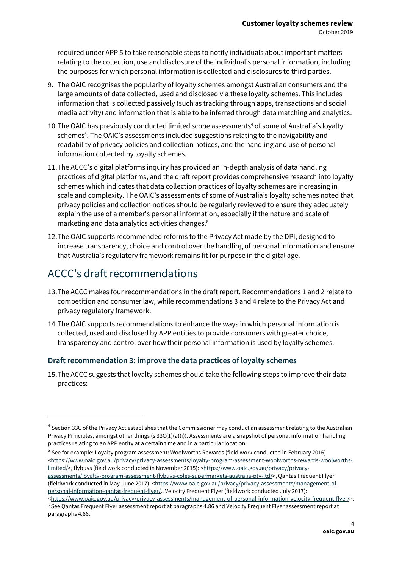required under APP 5 to take reasonable steps to notify individuals about important matters relating to the collection, use and disclosure of the individual's personal information, including the purposes for which personal information is collected and disclosures to third parties.

- 9. The OAIC recognises the popularity of loyalty schemes amongst Australian consumers and the large amounts of data collected, used and disclosed via these loyalty schemes. This includes information that is collected passively (such as tracking through apps, transactions and social media activity) and information that is able to be inferred through data matching and analytics.
- 10. The OAIC has previously conducted limited scope assessments<sup>4</sup> of some of Australia's loyalty schemes 5 . The OAIC's assessments included suggestions relating to the navigability and readability of privacy policies and collection notices, and the handling and use of personal information collected by loyalty schemes.
- 11.The ACCC's digital platforms inquiry has provided an in-depth analysis of data handling practices of digital platforms, and the draft report provides comprehensive research into loyalty schemes which indicates that data collection practices of loyalty schemes are increasing in scale and complexity. The OAIC's assessments of some of Australia's loyalty schemes noted that privacy policies and collection notices should be regularly reviewed to ensure they adequately explain the use of a member's personal information, especially if the nature and scale of marketing and data analytics activities changes.<sup>6</sup>
- 12.The OAIC supports recommended reforms to the Privacy Act made by the DPI, designed to increase transparency, choice and control over the handling of personal information and ensure that Australia's regulatory framework remains fit for purpose in the digital age.

## <span id="page-3-0"></span>ACCC's draft recommendations

- 13.The ACCC makes four recommendations in the draft report. Recommendations 1 and 2 relate to competition and consumer law, while recommendations 3 and 4 relate to the Privacy Act and privacy regulatory framework.
- 14.The OAIC supports recommendations to enhance the ways in which personal information is collected, used and disclosed by APP entities to provide consumers with greater choice, transparency and control over how their personal information is used by loyalty schemes.

#### **Draft recommendation 3: improve the data practices of loyalty schemes**

15.The ACCC suggests that loyalty schemes should take the following steps to improve their data practices:

<sup>5</sup> See for example: Loyalty program assessment: Woolworths Rewards (field work conducted in February 2016) [<https://www.oaic.gov.au/privacy/privacy-assessments/loyalty-program-assessment-woolworths-rewards-woolworths](https://www.oaic.gov.au/privacy/privacy-assessments/loyalty-program-assessment-woolworths-rewards-woolworths-limited/)[limited/>](https://www.oaic.gov.au/privacy/privacy-assessments/loyalty-program-assessment-woolworths-rewards-woolworths-limited/), flybuys (field work conducted in November 2015): [<https://www.oaic.gov.au/privacy/privacy](https://www.oaic.gov.au/privacy/privacy-assessments/loyalty-program-assessment-flybuys-coles-supermarkets-australia-pty-ltd/)[assessments/loyalty-program-assessment-flybuys-coles-supermarkets-australia-pty-ltd/>](https://www.oaic.gov.au/privacy/privacy-assessments/loyalty-program-assessment-flybuys-coles-supermarkets-australia-pty-ltd/), Qantas Frequent Flyer (fieldwork conducted in May-June 2017): [<https://www.oaic.gov.au/privacy/privacy-assessments/management-of](https://www.oaic.gov.au/privacy/privacy-assessments/management-of-personal-information-qantas-frequent-flyer/)[personal-information-qantas-frequent-flyer/.](https://www.oaic.gov.au/privacy/privacy-assessments/management-of-personal-information-qantas-frequent-flyer/), Velocity Frequent Flyer (fieldwork conducted July 2017):

 $^4$  Section 33C of the Privacy Act establishes that the Commissioner may conduct an assessment relating to the Australian Privacy Principles, amongst other things (s  $33C(1)(a)(i)$ ). Assessments are a snapshot of personal information handling practices relating to an APP entity at a certain time and in a particular location.

[<sup>&</sup>lt;https://www.oaic.gov.au/privacy/privacy-assessments/management-of-personal-information-velocity-frequent-flyer/>](https://www.oaic.gov.au/privacy/privacy-assessments/management-of-personal-information-velocity-frequent-flyer/). <sup>6</sup> See Qantas Frequent Flyer assessment report at paragraphs 4.86 and Velocity Frequent Flyer assessment report at paragraphs 4.86.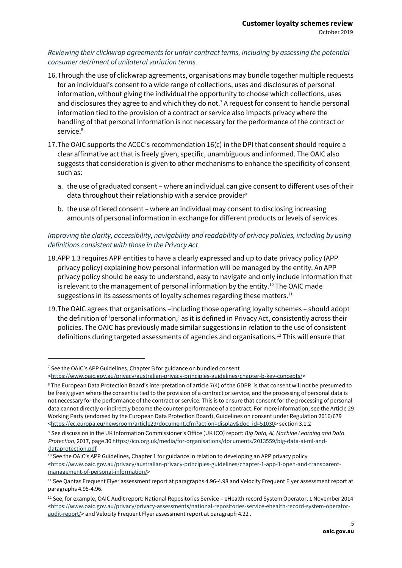#### *Reviewing their clickwrap agreements for unfair contract terms, including by assessing the potential consumer detriment of unilateral variation terms*

- 16.Through the use of clickwrap agreements, organisations may bundle together multiple requests for an individual's consent to a wide range of collections, uses and disclosures of personal information, without giving the individual the opportunity to choose which collections, uses and disclosures they agree to and which they do not.<sup>7</sup> A request for consent to handle personal information tied to the provision of a contract or service also impacts privacy where the handling of that personal information is not necessary for the performance of the contract or service.<sup>8</sup>
- 17.The OAIC supports the ACCC's recommendation 16(c) in the DPI that consent should require a clear affirmative act that is freely given, specific, unambiguous and informed. The OAIC also suggests that consideration is given to other mechanisms to enhance the specificity of consent such as:
	- a. the use of graduated consent where an individual can give consent to different uses of their data throughout their relationship with a service provider<sup>9</sup>
	- b. the use of tiered consent where an individual may consent to disclosing increasing amounts of personal information in exchange for different products or levels of services.

#### *Improving the clarity, accessibility, navigability and readability of privacy policies, including by using definitions consistent with those in the Privacy Act*

- 18.APP 1.3 requires APP entities to have a clearly expressed and up to date privacy policy (APP privacy policy) explaining how personal information will be managed by the entity. An APP privacy policy should be easy to understand, easy to navigate and only include information that is relevant to the management of personal information by the entity.<sup>10</sup> The OAIC made suggestions in its assessments of loyalty schemes regarding these matters.<sup>11</sup>
- 19.The OAIC agrees that organisations –including those operating loyalty schemes should adopt the definition of 'personal information,' as it is defined in Privacy Act, consistently across their policies. The OAIC has previously made similar suggestions in relation to the use of consistent definitions during targeted assessments of agencies and organisations.<sup>12</sup> This will ensure that

<sup>7</sup> See the OAIC's APP Guidelines, Chapter B for guidance on bundled consent

[<sup>&</sup>lt;https://www.oaic.gov.au/privacy/australian-privacy-principles-guidelines/chapter-b-key-concepts/>](https://www.oaic.gov.au/privacy/australian-privacy-principles-guidelines/chapter-b-key-concepts/)

<sup>8</sup> The European Data Protection Board's interpretation of article 7(4) of the GDPR is that consent will not be presumed to be freely given where the consent is tied to the provision of a contract or service, and the processing of personal data is not necessary for the performance of the contract or service. This is to ensure that consent for the processing of personal data cannot directly or indirectly become the counter-performance of a contract. For more information, see the Article 29 Working Party (endorsed by the European Data Protection Board), Guidelines on consent under Regulation 2016/679 [<https://ec.europa.eu/newsroom/article29/document.cfm?action=display&doc\\_id=51030>](https://ec.europa.eu/newsroom/article29/document.cfm?action=display&doc_id=51030) section 3.1.2

<sup>9</sup> See discussion in the UK Information Commissioner's Office (UK ICO) report: *Big Data, AI, Machine Learning and Data Protection*, 2017, page [30 https://ico.org.uk/media/for-organisations/documents/2013559/big-data-ai-ml-and](https://ico.org.uk/media/for-organisations/documents/2013559/big-data-ai-ml-and-data-protection.pdf)[dataprotection.pdf](https://ico.org.uk/media/for-organisations/documents/2013559/big-data-ai-ml-and-data-protection.pdf)

<sup>&</sup>lt;sup>10</sup> See the OAIC's APP Guidelines, Chapter 1 for guidance in relation to developing an APP privacy policy [<https://www.oaic.gov.au/privacy/australian-privacy-principles-guidelines/chapter-1-app-1-open-and-transparent](https://www.oaic.gov.au/privacy/australian-privacy-principles-guidelines/chapter-1-app-1-open-and-transparent-management-of-personal-information/)[management-of-personal-information/>](https://www.oaic.gov.au/privacy/australian-privacy-principles-guidelines/chapter-1-app-1-open-and-transparent-management-of-personal-information/)

<sup>&</sup>lt;sup>11</sup> See Qantas Frequent Flyer assessment report at paragraphs 4.96-4.98 and Velocity Frequent Flyer assessment report at paragraphs 4.95-4.96.

 $12$  See, for example, OAIC Audit report: National Repositories Service – eHealth record System Operator, 1 November 2014 [<https://www.oaic.gov.au/privacy/privacy-assessments/national-repositories-service-ehealth-record-system-operator](https://www.oaic.gov.au/privacy/privacy-assessments/national-repositories-service-ehealth-record-system-operator-audit-report/)[audit-report/>](https://www.oaic.gov.au/privacy/privacy-assessments/national-repositories-service-ehealth-record-system-operator-audit-report/) and Velocity Frequent Flyer assessment report at paragraph 4.22.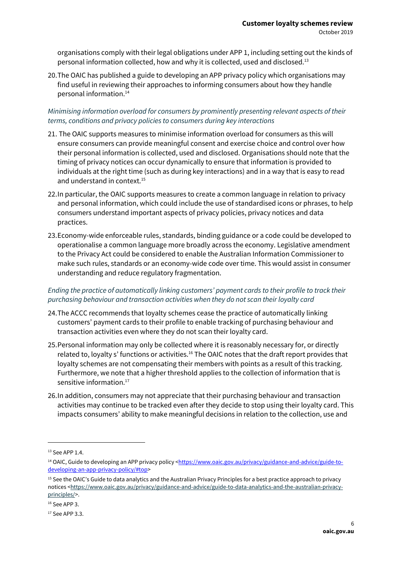organisations comply with their legal obligations under APP 1, including setting out the kinds of personal information collected, how and why it is collected, used and disclosed.<sup>13</sup>

20.The OAIC has published a guide to developing an APP privacy policy which organisations may find useful in reviewing their approaches to informing consumers about how they handle personal information.<sup>14</sup>

#### *Minimising information overload for consumers by prominently presenting relevant aspects of their terms, conditions and privacy policies to consumers during key interactions*

- 21. The OAIC supports measures to minimise information overload for consumers as this will ensure consumers can provide meaningful consent and exercise choice and control over how their personal information is collected, used and disclosed. Organisations should note that the timing of privacy notices can occur dynamically to ensure that information is provided to individuals at the right time (such as during key interactions) and in a way that is easy to read and understand in context.<sup>15</sup>
- 22.In particular, the OAIC supports measures to create a common language in relation to privacy and personal information, which could include the use of standardised icons or phrases, to help consumers understand important aspects of privacy policies, privacy notices and data practices.
- 23.Economy-wide enforceable rules, standards, binding guidance or a code could be developed to operationalise a common language more broadly across the economy. Legislative amendment to the Privacy Act could be considered to enable the Australian Information Commissioner to make such rules, standards or an economy-wide code over time. This would assist in consumer understanding and reduce regulatory fragmentation.

#### *Ending the practice of automatically linking customers' payment cards to their profile to track their purchasing behaviour and transaction activities when they do not scan their loyalty card*

- 24.The ACCC recommends that loyalty schemes cease the practice of automatically linking customers' payment cards to their profile to enable tracking of purchasing behaviour and transaction activities even where they do not scan their loyalty card.
- 25.Personal information may only be collected where it is reasonably necessary for, or directly related to, loyalty s' functions or activities.<sup>16</sup> The OAIC notes that the draft report provides that loyalty schemes are not compensating their members with points as a result of this tracking. Furthermore, we note that a higher threshold applies to the collection of information that is sensitive information.<sup>17</sup>
- 26.In addition, consumers may not appreciate that their purchasing behaviour and transaction activities may continue to be tracked even after they decide to stop using their loyalty card. This impacts consumers' ability to make meaningful decisions in relation to the collection, use and

<sup>&</sup>lt;sup>13</sup> See APP 1.4.

<sup>&</sup>lt;sup>14</sup> OAIC, Guide to developing an APP privacy policy [<https://www.oaic.gov.au/privacy/guidance-and-advice/guide-to](https://www.oaic.gov.au/privacy/guidance-and-advice/guide-to-developing-an-app-privacy-policy/#top)[developing-an-app-privacy-policy/#top>](https://www.oaic.gov.au/privacy/guidance-and-advice/guide-to-developing-an-app-privacy-policy/#top)

<sup>15</sup> See the OAIC's Guide to data analytics and the Australian Privacy Principles for a best practice approach to privacy notices [<https://www.oaic.gov.au/privacy/guidance-and-advice/guide-to-data-analytics-and-the-australian-privacy](https://www.oaic.gov.au/privacy/guidance-and-advice/guide-to-data-analytics-and-the-australian-privacy-principles/)[principles/>](https://www.oaic.gov.au/privacy/guidance-and-advice/guide-to-data-analytics-and-the-australian-privacy-principles/).

<sup>16</sup> See APP 3.

<sup>17</sup> See APP 3.3.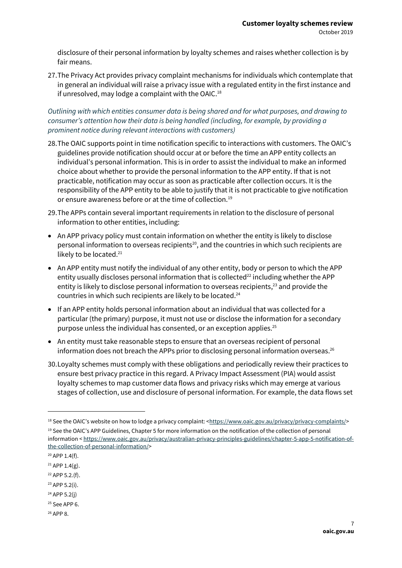disclosure of their personal information by loyalty schemes and raises whether collection is by fair means.

27.The Privacy Act provides privacy complaint mechanisms for individuals which contemplate that in general an individual will raise a privacy issue with a regulated entity in the first instance and if unresolved, may lodge a complaint with the OAIC.<sup>18</sup>

*Outlining with which entities consumer data is being shared and for what purposes, and drawing to consumer's attention how their data is being handled (including, for example, by providing a prominent notice during relevant interactions with customers)*

- 28.The OAIC supports point in time notification specific to interactions with customers. The OAIC's guidelines provide notification should occur at or before the time an APP entity collects an individual's personal information. This is in order to assist the individual to make an informed choice about whether to provide the personal information to the APP entity. If that is not practicable, notification may occur as soon as practicable after collection occurs. It is the responsibility of the APP entity to be able to justify that it is not practicable to give notification or ensure awareness before or at the time of collection.<sup>19</sup>
- 29.The APPs contain several important requirements in relation to the disclosure of personal information to other entities, including:
- An APP privacy policy must contain information on whether the entity is likely to disclose personal information to overseas recipients<sup>20</sup>, and the countries in which such recipients are likely to be located.<sup>21</sup>
- An APP entity must notify the individual of any other entity, body or person to which the APP entity usually discloses personal information that is collected<sup>22</sup> including whether the APP entity is likely to disclose personal information to overseas recipients,<sup>23</sup> and provide the countries in which such recipients are likely to be located. 24
- If an APP entity holds personal information about an individual that was collected for a particular (the primary) purpose, it must not use or disclose the information for a secondary purpose unless the individual has consented, or an exception applies. 25
- An entity must take reasonable steps to ensure that an overseas recipient of personal information does not breach the APPs prior to disclosing personal information overseas.<sup>26</sup>
- 30.Loyalty schemes must comply with these obligations and periodically review their practices to ensure best privacy practice in this regard. A Privacy Impact Assessment (PIA) would assist loyalty schemes to map customer data flows and privacy risks which may emerge at various stages of collection, use and disclosure of personal information. For example, the data flows set

- $22$  APP 5.2.(f).
- <sup>23</sup> APP 5.2(i).
- <sup>24</sup> APP 5.2(j)
- <sup>25</sup> See APP 6.
- <sup>26</sup> APP 8.

<sup>&</sup>lt;sup>18</sup> See the OAIC's website on how to lodge a privacy complaint: <[https://www.oaic.gov.au/privacy/privacy-complaints/>](https://www.oaic.gov.au/privacy/privacy-complaints/)

<sup>&</sup>lt;sup>19</sup> See the OAIC's APP Guidelines, Chapter 5 for more information on the notification of the collection of personal information < [https://www.oaic.gov.au/privacy/australian-privacy-principles-guidelines/chapter-5-app-5-notification-of](https://www.oaic.gov.au/privacy/australian-privacy-principles-guidelines/chapter-5-app-5-notification-of-the-collection-of-personal-information/)[the-collection-of-personal-information/>](https://www.oaic.gov.au/privacy/australian-privacy-principles-guidelines/chapter-5-app-5-notification-of-the-collection-of-personal-information/)

 $20$  APP 1.4(f).

 $21$  APP 1.4(g).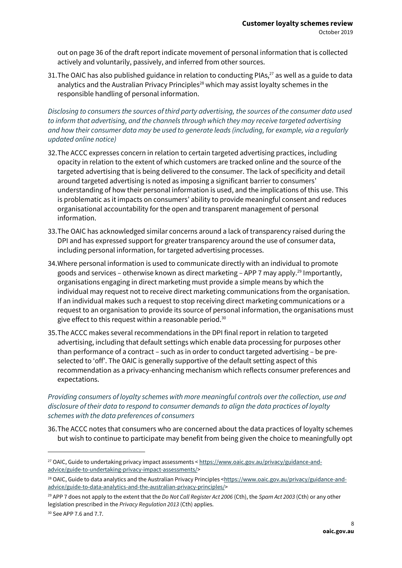out on page 36 of the draft report indicate movement of personal information that is collected actively and voluntarily, passively, and inferred from other sources.

31. The OAIC has also published guidance in relation to conducting PIAs,  $^{27}$  as well as a guide to data analytics and the Australian Privacy Principles<sup>28</sup> which may assist loyalty schemes in the responsible handling of personal information.

*Disclosing to consumers the sources of third party advertising, the sources of the consumer data used to inform that advertising, and the channels through which they may receive targeted advertising and how their consumer data may be used to generate leads (including, for example, via a regularly updated online notice)*

- 32.The ACCC expresses concern in relation to certain targeted advertising practices, including opacity in relation to the extent of which customers are tracked online and the source of the targeted advertising that is being delivered to the consumer. The lack of specificity and detail around targeted advertising is noted as imposing a significant barrier to consumers' understanding of how their personal information is used, and the implications of this use. This is problematic as it impacts on consumers' ability to provide meaningful consent and reduces organisational accountability for the open and transparent management of personal information.
- 33.The OAIC has acknowledged similar concerns around a lack of transparency raised during the DPI and has expressed support for greater transparency around the use of consumer data, including personal information, for targeted advertising processes.
- 34.Where personal information is used to communicate directly with an individual to promote goods and services – otherwise known as direct marketing – APP 7 may apply.<sup>29</sup> Importantly, organisations engaging in direct marketing must provide a simple means by which the individual may request not to receive direct marketing communications from the organisation. If an individual makes such a request to stop receiving direct marketing communications or a request to an organisation to provide its source of personal information, the organisations must give effect to this request within a reasonable period.<sup>30</sup>
- 35.The ACCC makes several recommendations in the DPI final report in relation to targeted advertising, including that default settings which enable data processing for purposes other than performance of a contract – such as in order to conduct targeted advertising – be preselected to 'off'. The OAIC is generally supportive of the default setting aspect of this recommendation as a privacy-enhancing mechanism which reflects consumer preferences and expectations.

*Providing consumers of loyalty schemes with more meaningful controls over the collection, use and disclosure of their data to respond to consumer demands to align the data practices of loyalty schemes with the data preferences of consumers* 

36.The ACCC notes that consumers who are concerned about the data practices of loyalty schemes but wish to continue to participate may benefit from being given the choice to meaningfully opt

<sup>27</sup> OAIC, Guide to undertaking privacy impact assessments < [https://www.oaic.gov.au/privacy/guidance-and](https://www.oaic.gov.au/privacy/guidance-and-advice/guide-to-undertaking-privacy-impact-assessments/)[advice/guide-to-undertaking-privacy-impact-assessments/>](https://www.oaic.gov.au/privacy/guidance-and-advice/guide-to-undertaking-privacy-impact-assessments/)

<sup>&</sup>lt;sup>28</sup> OAIC, Guide to data analytics and the Australian Privacy Principles [<https://www.oaic.gov.au/privacy/guidance-and](https://www.oaic.gov.au/privacy/guidance-and-advice/guide-to-data-analytics-and-the-australian-privacy-principles/)[advice/guide-to-data-analytics-and-the-australian-privacy-principles/>](https://www.oaic.gov.au/privacy/guidance-and-advice/guide-to-data-analytics-and-the-australian-privacy-principles/)

<sup>&</sup>lt;sup>29</sup> APP 7 does not apply to the extent that the *Do Not Call Register Act 2006* (Cth), the *Spam Act 2003* (Cth) or any other legislation prescribed in the *Privacy Regulation 2013* (Cth) applies.

<sup>30</sup> See APP 7.6 and 7.7.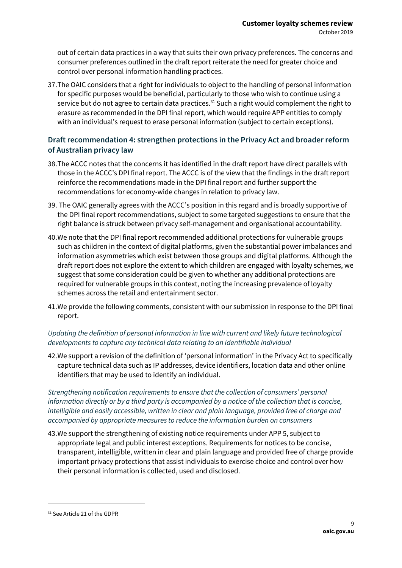out of certain data practices in a way that suits their own privacy preferences. The concerns and consumer preferences outlined in the draft report reiterate the need for greater choice and control over personal information handling practices.

37.The OAIC considers that a right for individuals to object to the handling of personal information for specific purposes would be beneficial, particularly to those who wish to continue using a service but do not agree to certain data practices.<sup>31</sup> Such a right would complement the right to erasure as recommended in the DPI final report, which would require APP entities to comply with an individual's request to erase personal information (subject to certain exceptions).

#### **Draft recommendation 4: strengthen protections in the Privacy Act and broader reform of Australian privacy law**

- 38.The ACCC notes that the concerns it has identified in the draft report have direct parallels with those in the ACCC's DPI final report. The ACCC is of the view that the findings in the draft report reinforce the recommendations made in the DPI final report and further support the recommendations for economy-wide changes in relation to privacy law.
- 39. The OAIC generally agrees with the ACCC's position in this regard and is broadly supportive of the DPI final report recommendations, subject to some targeted suggestions to ensure that the right balance is struck between privacy self-management and organisational accountability.
- 40.We note that the DPI final report recommended additional protections for vulnerable groups such as children in the context of digital platforms, given the substantial power imbalances and information asymmetries which exist between those groups and digital platforms. Although the draft report does not explore the extent to which children are engaged with loyalty schemes, we suggest that some consideration could be given to whether any additional protections are required for vulnerable groups in this context, noting the increasing prevalence of loyalty schemes across the retail and entertainment sector.
- 41.We provide the following comments, consistent with our submission in response to the DPI final report.

#### *Updating the definition of personal information in line with current and likely future technological developments to capture any technical data relating to an identifiable individual*

42.We support a revision of the definition of 'personal information' in the Privacy Act to specifically capture technical data such as IP addresses, device identifiers, location data and other online identifiers that may be used to identify an individual.

*Strengthening notification requirements to ensure that the collection of consumers' personal information directly or by a third party is accompanied by a notice of the collection that is concise, intelligible and easily accessible, written in clear and plain language, provided free of charge and accompanied by appropriate measures to reduce the information burden on consumers*

43.We support the strengthening of existing notice requirements under APP 5, subject to appropriate legal and public interest exceptions. Requirements for notices to be concise, transparent, intelligible, written in clear and plain language and provided free of charge provide important privacy protections that assist individuals to exercise choice and control over how their personal information is collected, used and disclosed.

<sup>31</sup> See Article 21 of the GDPR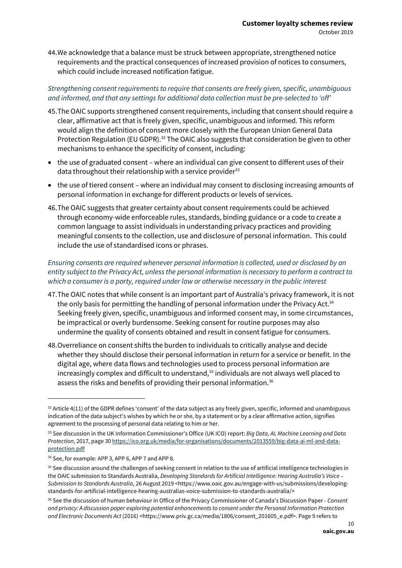44.We acknowledge that a balance must be struck between appropriate, strengthened notice requirements and the practical consequences of increased provision of notices to consumers, which could include increased notification fatigue.

#### *Strengthening consent requirements to require that consents are freely given, specific, unambiguous and informed, and that any settings for additional data collection must be pre-selected to 'off'*

- 45.The OAIC supports strengthened consent requirements, including that consent should require a clear, affirmative act that is freely given, specific, unambiguous and informed. This reform would align the definition of consent more closely with the European Union General Data Protection Regulation (EU GDPR).<sup>32</sup> The OAIC also suggests that consideration be given to other mechanisms to enhance the specificity of consent, including:
- the use of graduated consent where an individual can give consent to different uses of their data throughout their relationship with a service provider $33$
- the use of tiered consent where an individual may consent to disclosing increasing amounts of personal information in exchange for different products or levels of services.
- 46.The OAIC suggests that greater certainty about consent requirements could be achieved through economy-wide enforceable rules, standards, binding guidance or a code to create a common language to assist individuals in understanding privacy practices and providing meaningful consents to the collection, use and disclosure of personal information. This could include the use of standardised icons or phrases.

#### *Ensuring consents are required whenever personal information is collected, used or disclosed by an entity subject to the Privacy Act, unless the personal information is necessary to perform a contract to which a consumer is a party, required under law or otherwise necessary in the public interest*

- 47.The OAIC notes that while consent is an important part of Australia's privacy framework, it is not the only basis for permitting the handling of personal information under the Privacy Act.<sup>34</sup> Seeking freely given, specific, unambiguous and informed consent may, in some circumstances, be impractical or overly burdensome. Seeking consent for routine purposes may also undermine the quality of consents obtained and result in consent fatigue for consumers.
- 48.Overreliance on consent shifts the burden to individuals to critically analyse and decide whether they should disclose their personal information in return for a service or benefit. In the digital age, where data flows and technologies used to process personal information are increasingly complex and difficult to understand, $35$  individuals are not always well placed to assess the risks and benefits of providing their personal information.<sup>36</sup>

 $32$  Article 4(11) of the GDPR defines 'consent' of the data subject as any freely given, specific, informed and unambiguous indication of the data subject's wishes by which he or she, by a statement or by a clear affirmative action, signifies agreement to the processing of personal data relating to him or her.

<sup>33</sup> See discussion in the UK Information Commissioner's Office (UK ICO) report: *Big Data, AI, Machine Learning and Data Protection*, 2017, page 3[0 https://ico.org.uk/media/for-organisations/documents/2013559/big-data-ai-ml-and-data](https://ico.org.uk/media/for-organisations/documents/2013559/big-data-ai-ml-and-data-protection.pdf)[protection.pdf](https://ico.org.uk/media/for-organisations/documents/2013559/big-data-ai-ml-and-data-protection.pdf)

<sup>&</sup>lt;sup>34</sup> See, for example: APP 3, APP 6, APP 7 and APP 8.

<sup>&</sup>lt;sup>35</sup> See discussion around the challenges of seeking consent in relation to the use of artificial intelligence technologies in the OAIC submission to Standards Australia, *Developing Standards for Artificial Intelligence: Hearing Australia's Voice – Submission to Standards Australia*, 26 August 2019 <https://www.oaic.gov.au/engage-with-us/submissions/developingstandards-for-artificial-intelligence-hearing-australias-voice-submission-to-standards-australia/>

<sup>36</sup> See the discussion of human behaviour in Office of the Privacy Commissioner of Canada's Discussion Paper - *Consent and privacy: A discussion paper exploring potential enhancements to consent under the Personal Information Protection and Electronic Documents Act* (2016) <https://www.priv.gc.ca/media/1806/consent\_201605\_e.pdf>. Page 9 refers to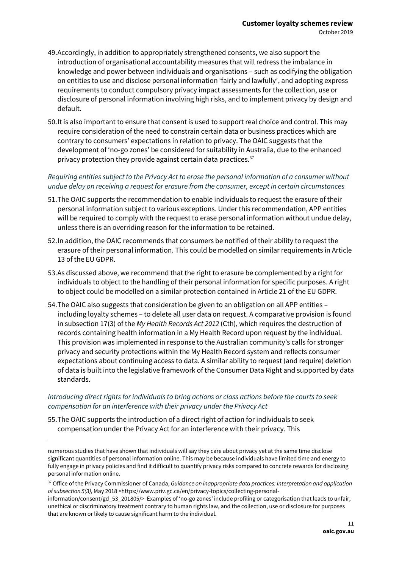- 49.Accordingly, in addition to appropriately strengthened consents, we also support the introduction of organisational accountability measures that will redress the imbalance in knowledge and power between individuals and organisations – such as codifying the obligation on entities to use and disclose personal information 'fairly and lawfully', and adopting express requirements to conduct compulsory privacy impact assessments for the collection, use or disclosure of personal information involving high risks, and to implement privacy by design and default.
- 50.It is also important to ensure that consent is used to support real choice and control. This may require consideration of the need to constrain certain data or business practices which are contrary to consumers' expectations in relation to privacy. The OAIC suggests that the development of 'no-go zones' be considered for suitability in Australia, due to the enhanced privacy protection they provide against certain data practices. $37$

#### *Requiring entities subject to the Privacy Act to erase the personal information of a consumer without undue delay on receiving a request for erasure from the consumer, except in certain circumstances*

- 51.The OAIC supports the recommendation to enable individuals to request the erasure of their personal information subject to various exceptions. Under this recommendation, APP entities will be required to comply with the request to erase personal information without undue delay, unless there is an overriding reason for the information to be retained.
- 52.In addition, the OAIC recommends that consumers be notified of their ability to request the erasure of their personal information. This could be modelled on similar requirements in Article 13 of the EU GDPR.
- 53.As discussed above, we recommend that the right to erasure be complemented by a right for individuals to object to the handling of their personal information for specific purposes. A right to object could be modelled on a similar protection contained in Article 21 of the EU GDPR.
- 54.The OAIC also suggests that consideration be given to an obligation on all APP entities including loyalty schemes – to delete all user data on request. A comparative provision is found in subsection 17(3) of the *My Health Records Act 2012* (Cth), which requires the destruction of records containing health information in a My Health Record upon request by the individual. This provision was implemented in response to the Australian community's calls for stronger privacy and security protections within the My Health Record system and reflects consumer expectations about continuing access to data. A similar ability to request (and require) deletion of data is built into the legislative framework of the Consumer Data Right and supported by data standards.

#### *Introducing direct rights for individuals to bring actions or class actions before the courts to seek compensation for an interference with their privacy under the Privacy Act*

55.The OAIC supports the introduction of a direct right of action for individuals to seek compensation under the Privacy Act for an interference with their privacy. This

numerous studies that have shown that individuals will say they care about privacy yet at the same time disclose significant quantities of personal information online. This may be because individuals have limited time and energy to fully engage in privacy policies and find it difficult to quantify privacy risks compared to concrete rewards for disclosing personal information online.

<sup>&</sup>lt;sup>37</sup> Office of the Privacy Commissioner of Canada, *Guidance on inappropriate data practices: Interpretation and application of subsection 5(3),* May 2018 <https://www.priv.gc.ca/en/privacy-topics/collecting-personal-

information/consent/gd\_53\_201805/> Examples of 'no-go zones' include profiling or categorisation that leads to unfair, unethical or discriminatory treatment contrary to human rights law, and the collection, use or disclosure for purposes that are known or likely to cause significant harm to the individual.